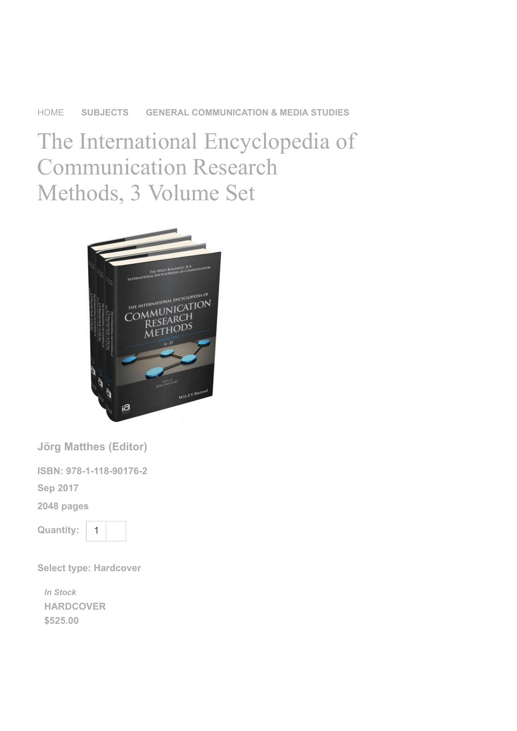## [HOME](https://www.wiley.com/en-sg) [SUBJECTS](https://www.wiley.com/en-sg/Subjects-c-subjects) [GENERAL COMMUNICATION & MEDIA STUDIES](https://www.wiley.com/en-sg/General+Communication+%26+Media+Studies-c-CO00)

The International Encyclopedia of Communication Research Methods, 3 Volume Set



Jörg Matthes (Editor)

ISBN: 978-1-118-90176-2

Sep 2017

2048 pages

Quantity:



Select type: Hardcover

**[HARDCOVER](https://www.wiley.com/en-sg/The+International+Encyclopedia+of+Communication+Research+Methods%2C+3+Volume+Set-p-9781118901762)** \$525.00 In Stock